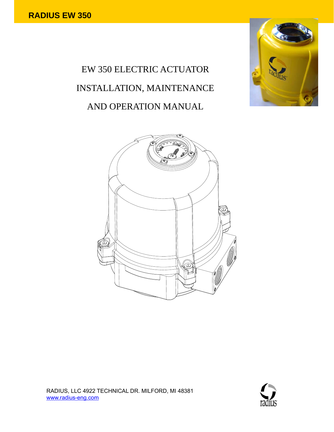# EW 350 ELECTRIC ACTUATOR INSTALLATION, MAINTENANCE AND OPERATION MANUAL





RADIUS, LLC 4922 TECHNICAL DR. MILFORD, MI 48381 www.radius-eng.com

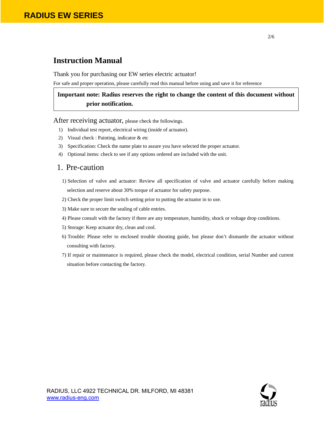## **Instruction Manual**

Thank you for purchasing our EW series electric actuator!

For safe and proper operation, please carefully read this manual before using and save it for reference

## **Important note: Radius reserves the right to change the content of this document without prior notification.**

After receiving actuator, please check the followings.

- 1) Individual test report, electrical wiring (inside of actuator).
- 2) Visual check : Painting, indicator & etc
- 3) Specification: Check the name plate to assure you have selected the proper actuator.
- 4) Optional items: check to see if any options ordered are included with the unit.

## 1. Pre-caution

- 1) Selection of valve and actuator: Review all specification of valve and actuator carefully before making selection and reserve about 30% torque of actuator for safety purpose.
- 2) Check the proper limit switch setting prior to putting the actuator in to use.
- 3) Make sure to secure the sealing of cable entries.
- 4) Please consult with the factory if there are any temperature, humidity, shock or voltage drop conditions.
- 5) Storage: Keep actuator dry, clean and cool.
- 6) Trouble: Please refer to enclosed trouble shooting guide, but please don't dismantle the actuator without consulting with factory.
- 7) If repair or maintenance is required, please check the model, electrical condition, serial Number and current situation before contacting the factory.

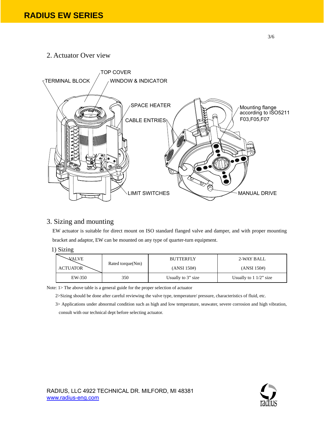2. Actuator Over view



## 3. Sizing and mounting

EW actuator is suitable for direct mount on ISO standard flanged valve and damper, and with proper mounting bracket and adaptor, EW can be mounted on any type of quarter-turn equipment.

1) Sizing

| <b>VALVE</b>    | Rated torque(Nm) | <b>BUTTERFLY</b>   | 2-WAY BALL               |
|-----------------|------------------|--------------------|--------------------------|
| <b>ACTUATOR</b> |                  | (ANSI 150#)        | (ANSI 150#)              |
| EW-350          | 350              | Usually to 3" size | Usually to $11/2$ " size |

Note: 1> The above table is a general guide for the proper selection of actuator

2>Sizing should be done after careful reviewing the valve type, temperature/ pressure, characteristics of fluid, etc.

3> Applications under abnormal condition such as high and low temperature, seawater, severe corrosion and high vibration, consult with our technical dept before selecting actuator.

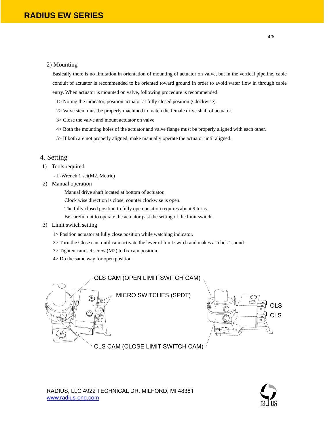#### 2) Mounting

Basically there is no limitation in orientation of mounting of actuator on valve, but in the vertical pipeline, cable conduit of actuator is recommended to be oriented toward ground in order to avoid water flow in through cable entry. When actuator is mounted on valve, following procedure is recommended.

- 1> Noting the indicator, position actuator at fully closed position (Clockwise).
- 2> Valve stem must be properly machined to match the female drive shaft of actuator.
- 3> Close the valve and mount actuator on valve
- 4> Both the mounting holes of the actuator and valve flange must be properly aligned with each other.
- 5> If both are not properly aligned, make manually operate the actuator until aligned.

### 4. Setting

- 1) Tools required
	- L-Wrench 1 set(M2, Metric)
- 2) Manual operation
	- Manual drive shaft located at bottom of actuator.
	- Clock wise direction is close, counter clockwise is open.
	- The fully closed position to fully open position requires about 9 turns.
	- Be careful not to operate the actuator past the setting of the limit switch.
- 3) Limit switch setting
	- 1> Position actuator at fully close position while watching indicator.
	- 2> Turn the Close cam until cam activate the lever of limit switch and makes a "click" sound.
	- 3> Tighten cam set screw (M2) to fix cam position.
	- 4> Do the same way for open position

MICRO SWITCHES (SPDT) OLS CAM (OPEN LIMIT SWITCH CAM)



CLS CAM (CLOSE LIMIT SWITCH CAM)

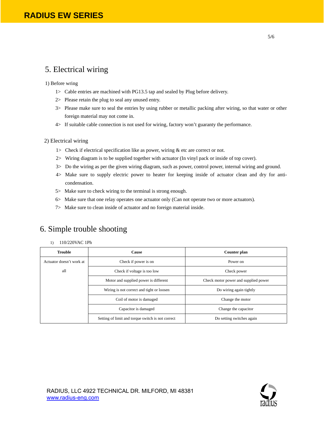# 5. Electrical wiring

1) Before wring

- 1> Cable entries are machined with PG13.5 tap and sealed by Plug before delivery.
- 2> Please retain the plug to seal any unused entry.
- 3> Please make sure to seal the entries by using rubber or metallic packing after wiring, so that water or other foreign material may not come in.
- 4> If suitable cable connection is not used for wiring, factory won't guaranty the performance.

#### 2) Electrical wiring

- 1> Check if electrical specification like as power, wiring & etc are correct or not.
- 2> Wiring diagram is to be supplied together with actuator (In vinyl pack or inside of top cover).
- 3> Do the wiring as per the given wiring diagram, such as power, control power, internal wiring and ground.
- 4> Make sure to supply electric power to heater for keeping inside of actuator clean and dry for anticondensation.
- 5> Make sure to check wiring to the terminal is strong enough.
- 6> Make sure that one relay operates one actuator only (Can not operate two or more actuators).
- 7> Make sure to clean inside of actuator and no foreign material inside.

# 6. Simple trouble shooting

#### 1) 110/220VAC 1Ph

| <b>Trouble</b>           | <b>Cause</b>                                      | Counter plan                         |
|--------------------------|---------------------------------------------------|--------------------------------------|
| Actuator doesn't work at | Check if power is on                              | Power on                             |
| all                      | Check if voltage is too low                       | Check power                          |
|                          | Motor and supplied power is different             | Check motor power and supplied power |
|                          | Wiring is not correct and tight or loosen         | Do wiring again tightly              |
|                          | Coil of motor is damaged                          | Change the motor                     |
|                          | Capacitor is damaged                              | Change the capacitor                 |
|                          | Setting of limit and torque switch is not correct | Do setting switches again            |